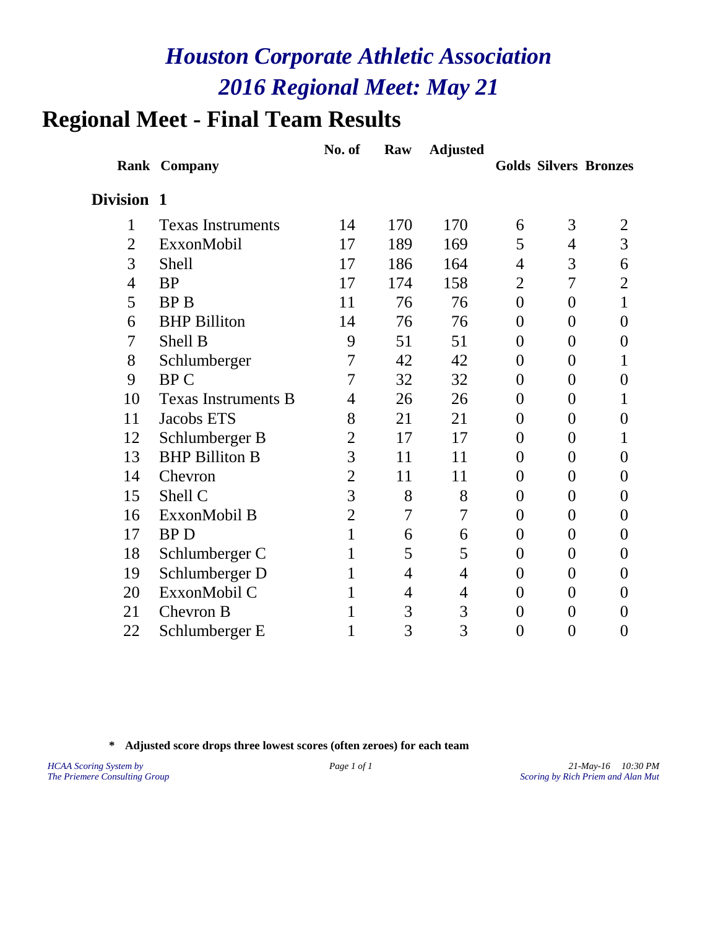# **Regional Meet - Final Team Results**

|                |                            | No. of         | Raw | <b>Adjusted</b> |                |                  |                              |
|----------------|----------------------------|----------------|-----|-----------------|----------------|------------------|------------------------------|
|                | <b>Rank Company</b>        |                |     |                 |                |                  | <b>Golds Silvers Bronzes</b> |
| Division 1     |                            |                |     |                 |                |                  |                              |
| $\mathbf{1}$   | <b>Texas Instruments</b>   | 14             | 170 | 170             | 6              | 3                | $\overline{2}$               |
| $\overline{2}$ | ExxonMobil                 | 17             | 189 | 169             | 5              | 4                | 3                            |
| 3              | <b>Shell</b>               | 17             | 186 | 164             | 4              | 3                | 6                            |
| $\overline{4}$ | <b>BP</b>                  | 17             | 174 | 158             | 2              | 7                | 2                            |
| 5              | <b>BPB</b>                 | 11             | 76  | 76              | $\overline{0}$ | $\overline{0}$   | 1                            |
| 6              | <b>BHP</b> Billiton        | 14             | 76  | 76              | $\theta$       | $\overline{0}$   | $\theta$                     |
| 7              | Shell B                    | 9              | 51  | 51              | $\overline{0}$ | $\overline{0}$   | $\theta$                     |
| 8              | Schlumberger               | 7              | 42  | 42              | $\overline{0}$ | $\overline{0}$   | 1                            |
| 9              | <b>BPC</b>                 | 7              | 32  | 32              | $\overline{0}$ | $\overline{0}$   | $\overline{0}$               |
| 10             | <b>Texas Instruments B</b> | 4              | 26  | 26              | $\overline{0}$ | $\overline{0}$   | 1                            |
| 11             | Jacobs ETS                 | 8              | 21  | 21              | $\overline{0}$ | $\boldsymbol{0}$ | $\overline{0}$               |
| 12             | Schlumberger B             | $\overline{2}$ | 17  | 17              | $\overline{0}$ | $\overline{0}$   |                              |
| 13             | <b>BHP Billiton B</b>      | 3              | 11  | 11              | $\overline{0}$ | $\overline{0}$   | 0                            |
| 14             | Chevron                    | $\overline{2}$ | 11  | 11              | $\overline{0}$ | $\overline{0}$   | $\overline{0}$               |
| 15             | Shell C                    | 3              | 8   | 8               | $\overline{0}$ | $\overline{0}$   | $\theta$                     |
| 16             | ExxonMobil B               | $\overline{2}$ | 7   | 7               | $\overline{0}$ | $\overline{0}$   | 0                            |
| 17             | <b>BPD</b>                 | 1              | 6   | 6               | $\overline{0}$ | $\overline{0}$   | $\theta$                     |
| 18             | Schlumberger C             | 1              | 5   | 5               | $\theta$       | $\overline{0}$   | $\overline{0}$               |
| 19             | Schlumberger D             | 1              | 4   | 4               | $\theta$       | $\overline{0}$   | $\overline{0}$               |
| 20             | ExxonMobil C               | 1              | 4   | 4               | $\overline{0}$ | $\overline{0}$   | $\overline{0}$               |
| 21             | Chevron B                  | 1              | 3   | 3               | $\overline{0}$ | $\overline{0}$   | 0                            |
| 22             | Schlumberger E             | $\mathbf{1}$   | 3   | 3               | $\overline{0}$ | $\boldsymbol{0}$ | $\overline{0}$               |

**\* Adjusted score drops three lowest scores (often zeroes) for each team**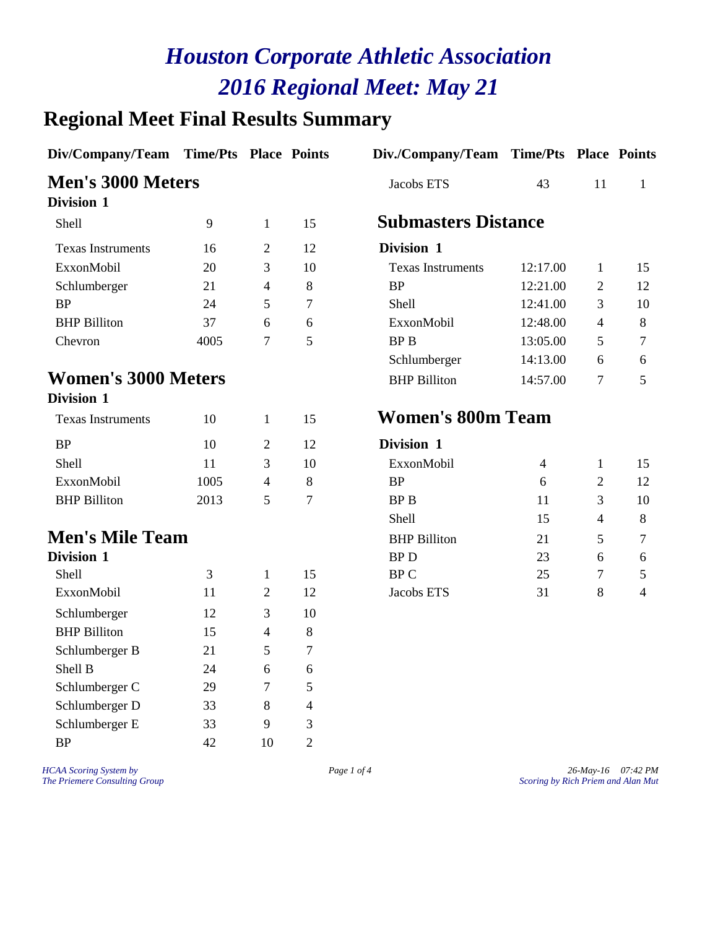# **Regional Meet Final Results Summary**

| Div/Company/Team Time/Pts Place Points |      |                |                  | Div./Company/Team Time/Pts Place Points |                |                          |                |
|----------------------------------------|------|----------------|------------------|-----------------------------------------|----------------|--------------------------|----------------|
| <b>Men's 3000 Meters</b>               |      |                |                  | Jacobs ETS                              | 43             | 11                       | $\mathbf{1}$   |
| <b>Division 1</b>                      |      |                |                  |                                         |                |                          |                |
| Shell                                  | 9    | $\mathbf{1}$   | 15               | <b>Submasters Distance</b>              |                |                          |                |
| <b>Texas Instruments</b>               | 16   | $\overline{2}$ | 12               | Division 1                              |                |                          |                |
| ExxonMobil                             | 20   | 3              | 10               | <b>Texas Instruments</b>                | 12:17.00       | $\mathbf{1}$             | 15             |
| Schlumberger                           | 21   | 4              | 8                | <b>BP</b>                               | 12:21.00       | $\overline{2}$           | 12             |
| <b>BP</b>                              | 24   | 5              | $\tau$           | Shell                                   | 12:41.00       | 3                        | 10             |
| <b>BHP Billiton</b>                    | 37   | 6              | 6                | ExxonMobil                              | 12:48.00       | $\overline{4}$           | 8              |
| Chevron                                | 4005 | 7              | 5                | <b>BPB</b>                              | 13:05.00       | 5                        | 7              |
|                                        |      |                |                  | Schlumberger                            | 14:13.00       | 6                        | 6              |
| <b>Women's 3000 Meters</b>             |      |                |                  | <b>BHP Billiton</b>                     | 14:57.00       | 7                        | 5              |
| <b>Division 1</b>                      |      |                |                  |                                         |                |                          |                |
| <b>Texas Instruments</b>               | 10   | $\mathbf{1}$   | 15               | <b>Women's 800m Team</b>                |                |                          |                |
| <b>BP</b>                              | 10   | $\overline{2}$ | 12               | Division 1                              |                |                          |                |
| Shell                                  | 11   | 3              | 10               | ExxonMobil                              | $\overline{4}$ | $\mathbf{1}$             | 15             |
| ExxonMobil                             | 1005 | 4              | 8                | <b>BP</b>                               | 6              | 2                        | 12             |
| <b>BHP</b> Billiton                    | 2013 | 5              | $\boldsymbol{7}$ | <b>BPB</b>                              | 11             | 3                        | 10             |
|                                        |      |                |                  | Shell                                   | 15             | $\overline{\mathcal{A}}$ | 8              |
| <b>Men's Mile Team</b>                 |      |                |                  | <b>BHP</b> Billiton                     | 21             | 5                        | 7              |
| <b>Division 1</b>                      |      |                |                  | <b>BPD</b>                              | 23             | 6                        | 6              |
| Shell                                  | 3    | 1              | 15               | <b>BPC</b>                              | 25             | 7                        | 5              |
| ExxonMobil                             | 11   | $\overline{2}$ | 12               | Jacobs ETS                              | 31             | 8                        | $\overline{4}$ |
| Schlumberger                           | 12   | 3              | 10               |                                         |                |                          |                |
| <b>BHP</b> Billiton                    | 15   | $\overline{4}$ | 8                |                                         |                |                          |                |
| Schlumberger B                         | 21   | 5              | $\tau$           |                                         |                |                          |                |
| Shell B                                | 24   | 6              | 6                |                                         |                |                          |                |
| Schlumberger C                         | 29   | 7              | 5                |                                         |                |                          |                |
| Schlumberger D                         | 33   | 8              | 4                |                                         |                |                          |                |
| Schlumberger E                         | 33   | 9              | 3                |                                         |                |                          |                |
| <b>BP</b>                              | 42   | 10             | $\sqrt{2}$       |                                         |                |                          |                |
|                                        |      |                |                  |                                         |                |                          |                |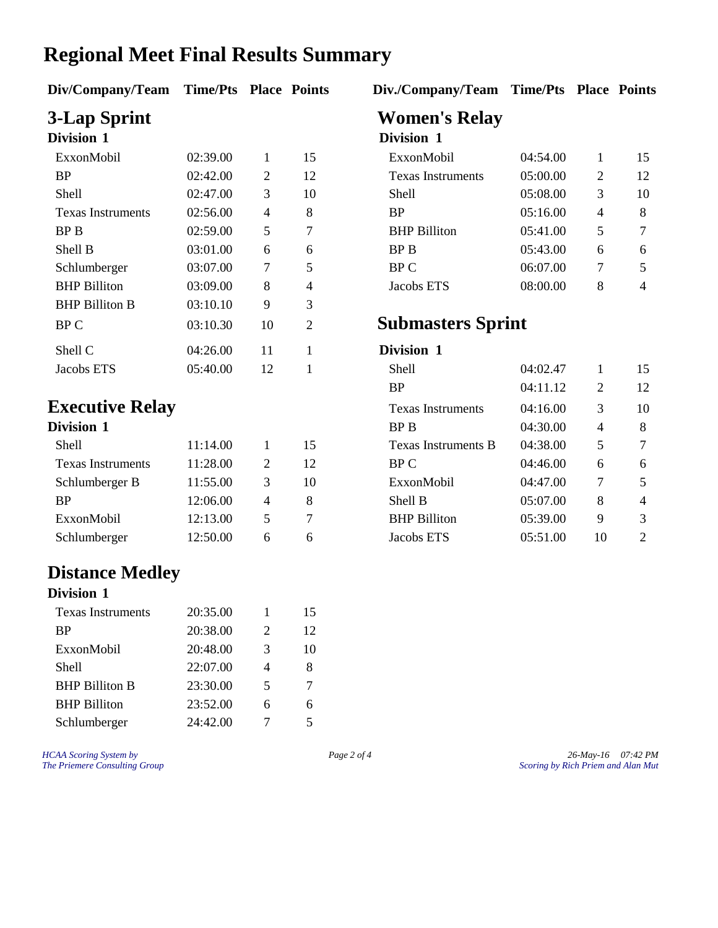#### **Regional Meet Final Results Summary**

**Div/Company/Team Time/Pts Place Points Div./Company/Team Time/Pts Place Points**

| DIVISION 1               |          |    |                | DIVISION 1               |          |   |    |
|--------------------------|----------|----|----------------|--------------------------|----------|---|----|
| ExxonMobil               | 02:39.00 | 1  | 15             | ExxonMobil               | 04:54.00 | 1 | 1: |
| <b>BP</b>                | 02:42.00 | 2  | 12             | <b>Texas Instruments</b> | 05:00.00 | 2 | 12 |
| Shell                    | 02:47.00 | 3  | 10             | <b>Shell</b>             | 05:08.00 | 3 | 10 |
| <b>Texas Instruments</b> | 02:56.00 | 4  | 8              | <b>BP</b>                | 05:16.00 | 4 | 8  |
| <b>BPB</b>               | 02:59.00 | 5  | 7              | <b>BHP</b> Billiton      | 05:41.00 | 5 | 7  |
| Shell B                  | 03:01.00 | 6  | 6              | BP B                     | 05:43.00 | 6 | 6  |
| Schlumberger             | 03:07.00 | 7  | 5              | BP C                     | 06:07.00 | 7 | 5  |
| <b>BHP</b> Billiton      | 03:09.00 | 8  | 4              | Jacobs ETS               | 08:00.00 | 8 | 4  |
| <b>BHP Billiton B</b>    | 03:10.10 | 9  | 3              |                          |          |   |    |
| BP C                     | 03:10.30 | 10 | $\overline{2}$ | <b>Submasters Sprint</b> |          |   |    |
| Shell C                  | 04:26.00 | 11 |                | Division 1               |          |   |    |
| Jacobs ETS               | 05:40.00 | 12 |                | Shell                    | 04:02.47 |   | 1: |
|                          |          |    |                |                          |          |   |    |

#### **Executive Relay**

| Division 1               |          |                       |    |
|--------------------------|----------|-----------------------|----|
| <b>Shell</b>             | 11:14.00 |                       | 15 |
| <b>Texas Instruments</b> | 11:28.00 | $\mathcal{D}_{\cdot}$ | 12 |
| Schlumberger B           | 11:55.00 | 3                     | 10 |
| <b>BP</b>                | 12:06.00 | 4                     | 8  |
| ExxonMobil               | 12:13.00 | 5                     |    |
| Schlumberger             | 12:50.00 |                       |    |

#### **Distance Medley**

#### **Division 1**

| <b>Texas Instruments</b> | 20:35.00 |                             | 15 |
|--------------------------|----------|-----------------------------|----|
| BP                       | 20:38.00 | $\mathcal{D}_{\mathcal{L}}$ | 12 |
| ExxonMobil               | 20:48.00 | $\mathcal{R}$               | 10 |
| <b>Shell</b>             | 22:07.00 | $\overline{4}$              | 8  |
| <b>BHP Billiton B</b>    | 23:30.00 | 5                           | 7  |
| <b>BHP Billiton</b>      | 23:52.00 | 6                           | 6  |
| Schlumberger             | 24:42.00 |                             | 5  |

# **3-Lap Sprint Women's Relay**

#### **Division 1 Division 1**

| ExxonMobil          | 02:39.00 |   | 15 | ExxonMobil               | 04:54.00 |   | 15             |
|---------------------|----------|---|----|--------------------------|----------|---|----------------|
| BP                  | 02:42.00 | 2 | 12 | <b>Texas Instruments</b> | 05:00.00 | 2 | 12             |
| Shell               | 02:47.00 | 3 | 10 | Shell                    | 05:08.00 | 3 | 10             |
| Texas Instruments   | 02:56.00 | 4 | 8  | BP                       | 05:16.00 | 4 | 8              |
| BP B                | 02:59.00 | 5 |    | <b>BHP</b> Billiton      | 05:41.00 |   | 7              |
| Shell B             | 03:01.00 | 6 | 6  | BP B                     | 05:43.00 | 6 | 6              |
| Schlumberger        | 03:07.00 |   | 5. | BP C                     | 06:07.00 | 7 | 5.             |
| <b>BHP Billiton</b> | 03:09.00 | 8 | 4  | Jacobs ETS               | 08:00.00 |   | $\overline{4}$ |

#### **Submasters Sprint**

#### Division 1

| Jacobs ETS               | 05:40.00 | 12 |    | Shell                    | 04:02.47 |    | 15             |
|--------------------------|----------|----|----|--------------------------|----------|----|----------------|
|                          |          |    |    | BP                       | 04:11.12 | 2  | 12             |
| <b>Executive Relay</b>   |          |    |    | <b>Texas Instruments</b> | 04:16.00 | 3  | 10             |
| Division 1               |          |    |    | BP B                     | 04:30.00 | 4  | 8              |
| Shell                    | 11:14.00 |    | 15 | Texas Instruments B      | 04:38.00 | 5  | 7              |
| <b>Texas Instruments</b> | 11:28.00 | 2  | 12 | BP C                     | 04:46.00 | 6  | 6              |
| Schlumberger B           | 11:55.00 | 3  | 10 | ExxonMobil               | 04:47.00 | 7  | 5              |
| <b>BP</b>                | 12:06.00 | 4  | 8  | Shell B                  | 05:07.00 | 8  | $\overline{4}$ |
| ExxonMobil               | 12:13.00 | 5  | 7  | <b>BHP</b> Billiton      | 05:39.00 | 9  | 3              |
| Schlumberger             | 12:50.00 | 6  | 6  | Jacobs ETS               | 05:51.00 | 10 | 2              |
|                          |          |    |    |                          |          |    |                |

*HCAA Scoring System by Page 2 of 4 26-May-16 07:42 PM The Priemere Consulting Group Scoring by Rich Priem and Alan Mut*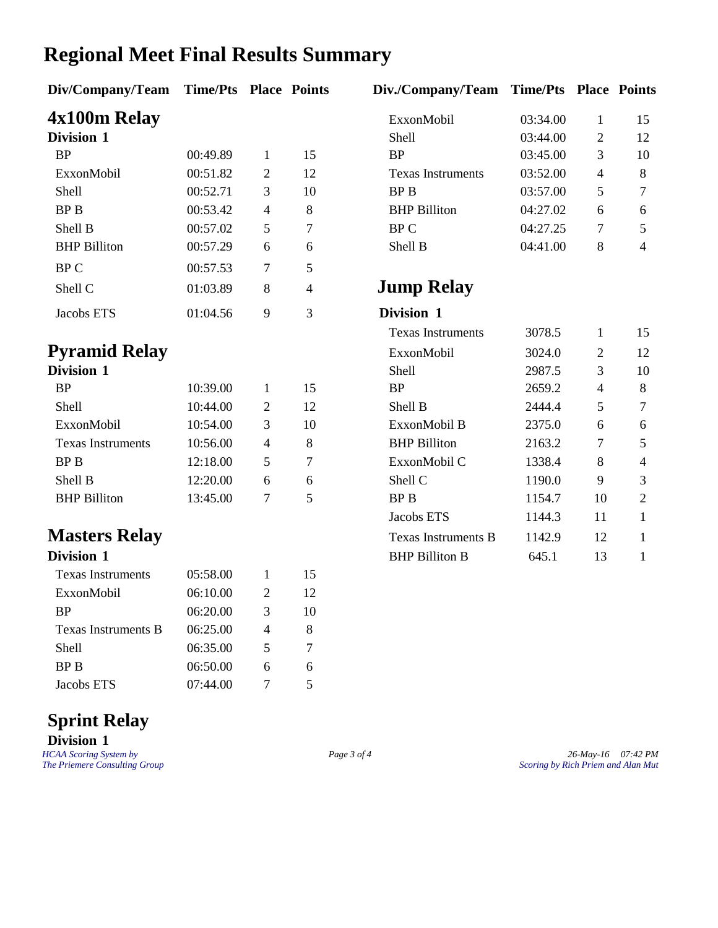### **Regional Meet Final Results Summary**

# **4x100m Relay**<br>Division 1

| DIVISION 1          |          |   |    | Shell                    | U3:44.UU |   | 12             |
|---------------------|----------|---|----|--------------------------|----------|---|----------------|
| <b>BP</b>           | 00:49.89 |   | 15 | <b>BP</b>                | 03:45.00 | 3 | 10             |
| ExxonMobil          | 00:51.82 | 2 | 12 | <b>Texas Instruments</b> | 03:52.00 | 4 | 8              |
| Shell               | 00:52.71 | 3 | 10 | BP B                     | 03:57.00 | 5 | $\tau$         |
| BP B                | 00:53.42 | 4 | 8  | <b>BHP</b> Billiton      | 04:27.02 | 6 | 6              |
| Shell B             | 00:57.02 | 5 | 7  | BP C                     | 04:27.25 | 7 | 5              |
| <b>BHP</b> Billiton | 00:57.29 | 6 | 6  | Shell B                  | 04:41.00 | 8 | $\overline{4}$ |
| BP C                | 00:57.53 | 7 | 5  |                          |          |   |                |
| Shell C             | 01:03.89 | 8 | 4  | <b>Jump Relay</b>        |          |   |                |
| Jacobs ETS          | 01:04.56 | 9 | 3  | Division 1               |          |   |                |

| Division 1               |          |   |    |
|--------------------------|----------|---|----|
| <b>BP</b>                | 10:39.00 |   | 15 |
| Shell                    | 10:44.00 | 2 | 12 |
| ExxonMobil               | 10:54.00 | 3 | 10 |
| <b>Texas Instruments</b> | 10:56.00 | 4 | 8  |
| <b>BPB</b>               | 12:18.00 | 5 |    |
| Shell B                  | 12:20.00 | 6 |    |
| <b>BHP Billiton</b>      | 13:45.00 |   | 5  |

## **Masters Relay**

| .                        |          |   |    |
|--------------------------|----------|---|----|
| <b>Texas Instruments</b> | 05:58.00 |   | 15 |
| ExxonMobil               | 06:10.00 | 2 | 12 |
| BP                       | 06:20.00 | 3 | 10 |
| Texas Instruments B      | 06:25.00 | 4 | 8  |
| <b>Shell</b>             | 06:35.00 | 5 | 7  |
| <b>BPB</b>               | 06:50.00 | 6 | 6  |
| Jacobs ETS               | 07:44.00 |   |    |

#### **Sprint Relay Division 1**

#### **Div/Company/Team Time/Pts Place Points Div./Company/Team Time/Pts Place Points**

| 4x100m Relay        |          |   |    | ExxonMobil               | 03:34.00 |   | 15             |
|---------------------|----------|---|----|--------------------------|----------|---|----------------|
| <b>Division 1</b>   |          |   |    | Shell                    | 03:44.00 | 2 | 12             |
| <b>BP</b>           | 00:49.89 |   | 15 | <b>BP</b>                | 03:45.00 | 3 | 10             |
| ExxonMobil          | 00:51.82 | 2 | 12 | <b>Texas Instruments</b> | 03:52.00 | 4 | 8              |
| Shell               | 00:52.71 |   | 10 | BP B                     | 03:57.00 |   |                |
| <b>BPB</b>          | 00:53.42 | 4 | 8  | <b>BHP</b> Billiton      | 04:27.02 | 6 | 6              |
| Shell B             | 00:57.02 |   |    | BP C                     | 04:27.25 |   | 5              |
| <b>BHP</b> Billiton | 00:57.29 | 6 | 6  | Shell B                  | 04:41.00 | 8 | $\overline{4}$ |

#### **Jump Relay**

| Jacobs ETS               | 01:04.56 | 9 | 3  | Division 1               |        |                |    |
|--------------------------|----------|---|----|--------------------------|--------|----------------|----|
|                          |          |   |    | <b>Texas Instruments</b> | 3078.5 | 1              | 15 |
| Pyramid Relay            |          |   |    | ExxonMobil               | 3024.0 | $\overline{2}$ | 12 |
| <b>Division 1</b>        |          |   |    | Shell                    | 2987.5 | 3              | 10 |
| <b>BP</b>                | 10:39.00 | 1 | 15 | <b>BP</b>                | 2659.2 | 4              | 8  |
| <b>Shell</b>             | 10:44.00 | 2 | 12 | Shell B                  | 2444.4 | 5              | 7  |
| ExxonMobil               | 10:54.00 | 3 | 10 | ExxonMobil B             | 2375.0 | 6              | 6  |
| <b>Texas Instruments</b> | 10:56.00 | 4 | 8  | <b>BHP</b> Billiton      | 2163.2 | 7              | 5  |
| BP B                     | 12:18.00 | 5 | 7  | ExxonMobil C             | 1338.4 | 8              | 4  |
| Shell B                  | 12:20.00 | 6 | 6  | Shell C                  | 1190.0 | 9              | 3  |
| <b>BHP</b> Billiton      | 13:45.00 | 7 | 5  | BP B                     | 1154.7 | 10             | 2  |
|                          |          |   |    | Jacobs ETS               | 1144.3 | 11             |    |
| <b>Masters Relay</b>     |          |   |    | Texas Instruments B      | 1142.9 | 12             | 1  |
| <b>Division 1</b>        |          |   |    | <b>BHP Billiton B</b>    | 645.1  | 13             |    |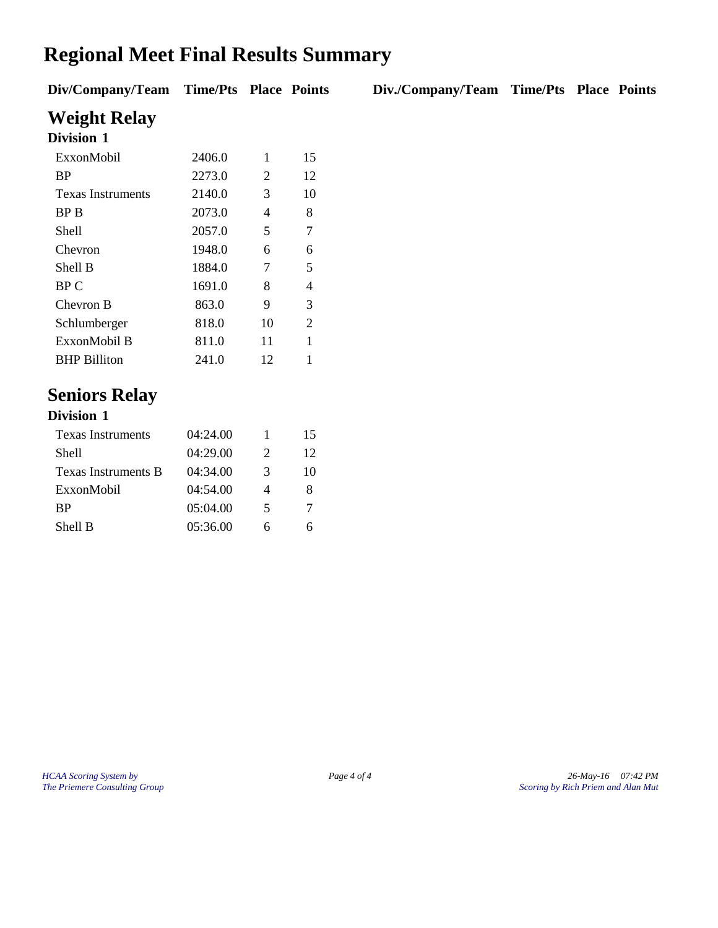# **Regional Meet Final Results Summary**

**Div/Company/Team Time/Pts Place Points Div./Company/Team Time/Pts Place Points**

**Weight Relay Division 1**

| LUVISION 1               |        |    |    |
|--------------------------|--------|----|----|
| ExxonMobil               | 2406.0 | 1  | 15 |
| <b>BP</b>                | 2273.0 | 2  | 12 |
| <b>Texas Instruments</b> | 2140.0 | 3  | 10 |
| <b>BPB</b>               | 2073.0 | 4  | 8  |
| Shell                    | 2057.0 | 5  | 7  |
| Chevron                  | 1948.0 | 6  | 6  |
| Shell B                  | 1884.0 | 7  | 5  |
| BP C                     | 1691.0 | 8  | 4  |
| Chevron B                | 863.0  | 9  | 3  |
| Schlumberger             | 818.0  | 10 | 2  |
| ExxonMobil B             | 811.0  | 11 | 1  |
| <b>BHP Billiton</b>      | 241.0  | 12 |    |

#### **Seniors Relay**

| <b>Division 1</b>        |          |   |    |
|--------------------------|----------|---|----|
| <b>Texas Instruments</b> | 04:24.00 |   | 15 |
| Shell                    | 04:29.00 | 2 | 12 |
| Texas Instruments B      | 04:34.00 | 3 | 10 |
| ExxonMobil               | 04:54.00 | 4 | 8  |
| <b>BP</b>                | 05:04.00 | 5 |    |
| Shell B                  | 05:36.00 |   |    |

*HCAA Scoring System by Page 4 of 4 26-May-16 07:42 PM The Priemere Consulting Group Scoring by Rich Priem and Alan Mut*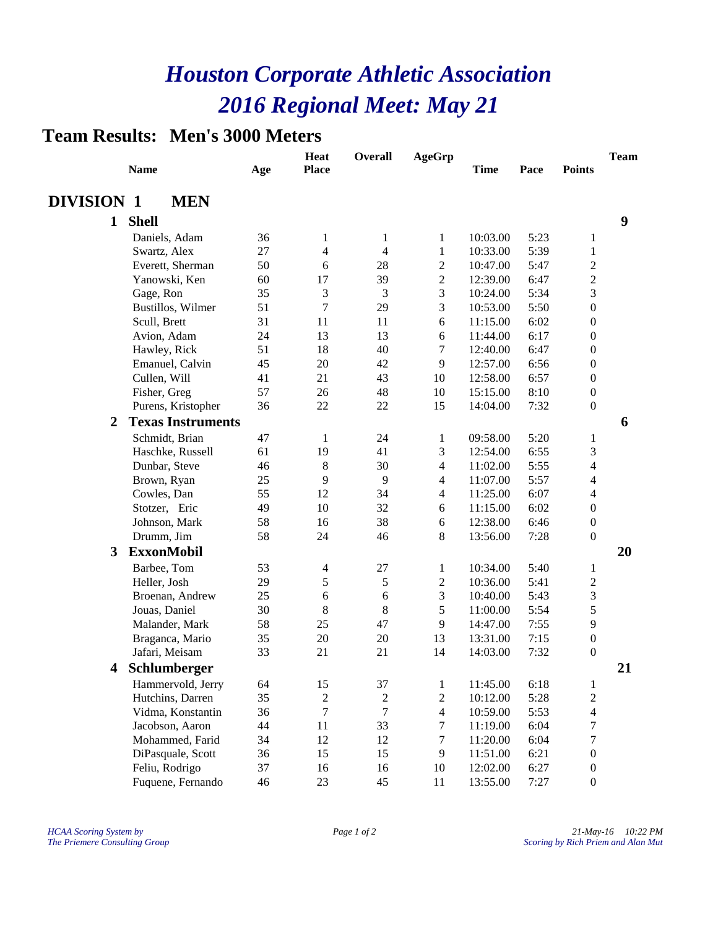#### **Team Results: Men's 3000 Meters**

|                   | <b>Name</b>              | Age | <b>Heat</b><br><b>Place</b> | <b>Overall</b>   | <b>AgeGrp</b>    | <b>Time</b> | Pace | <b>Points</b>    | <b>Team</b> |
|-------------------|--------------------------|-----|-----------------------------|------------------|------------------|-------------|------|------------------|-------------|
| <b>DIVISION 1</b> | <b>MEN</b>               |     |                             |                  |                  |             |      |                  |             |
| $\mathbf{1}$      | <b>Shell</b>             |     |                             |                  |                  |             |      |                  | 9           |
|                   | Daniels, Adam            | 36  | 1                           | 1                | 1                | 10:03.00    | 5:23 | 1                |             |
|                   | Swartz, Alex             | 27  | 4                           | 4                | $\mathbf{1}$     | 10:33.00    | 5:39 | 1                |             |
|                   | Everett, Sherman         | 50  | 6                           | 28               | $\overline{2}$   | 10:47.00    | 5:47 | $\overline{2}$   |             |
|                   | Yanowski, Ken            | 60  | 17                          | 39               | $\boldsymbol{2}$ | 12:39.00    | 6:47 | $\mathfrak{2}$   |             |
|                   | Gage, Ron                | 35  | 3                           | 3                | 3                | 10:24.00    | 5:34 | 3                |             |
|                   | Bustillos, Wilmer        | 51  | 7                           | 29               | 3                | 10:53.00    | 5:50 | $\boldsymbol{0}$ |             |
|                   | Scull, Brett             | 31  | 11                          | 11               | 6                | 11:15.00    | 6:02 | $\boldsymbol{0}$ |             |
|                   | Avion, Adam              | 24  | 13                          | 13               | 6                | 11:44.00    | 6:17 | $\boldsymbol{0}$ |             |
|                   | Hawley, Rick             | 51  | 18                          | 40               | 7                | 12:40.00    | 6:47 | $\boldsymbol{0}$ |             |
|                   | Emanuel, Calvin          | 45  | 20                          | 42               | 9                | 12:57.00    | 6:56 | $\boldsymbol{0}$ |             |
|                   | Cullen, Will             | 41  | 21                          | 43               | 10               | 12:58.00    | 6:57 | $\boldsymbol{0}$ |             |
|                   | Fisher, Greg             | 57  | 26                          | 48               | 10               | 15:15.00    | 8:10 | $\boldsymbol{0}$ |             |
|                   | Purens, Kristopher       | 36  | 22                          | 22               | 15               | 14:04.00    | 7:32 | $\boldsymbol{0}$ |             |
| 2                 | <b>Texas Instruments</b> |     |                             |                  |                  |             |      |                  | 6           |
|                   | Schmidt, Brian           | 47  | $\mathbf{1}$                | 24               | 1                | 09:58.00    | 5:20 | $\mathbf{1}$     |             |
|                   | Haschke, Russell         | 61  | 19                          | 41               | 3                | 12:54.00    | 6:55 | 3                |             |
|                   | Dunbar, Steve            | 46  | $\,8\,$                     | 30               | $\overline{4}$   | 11:02.00    | 5:55 | $\overline{4}$   |             |
|                   | Brown, Ryan              | 25  | 9                           | 9                | $\overline{4}$   | 11:07.00    | 5:57 | $\overline{4}$   |             |
|                   | Cowles, Dan              | 55  | 12                          | 34               | $\overline{4}$   | 11:25.00    | 6:07 | $\overline{4}$   |             |
|                   | Stotzer, Eric            | 49  | 10                          | 32               | 6                | 11:15.00    | 6:02 | $\boldsymbol{0}$ |             |
|                   | Johnson, Mark            | 58  | 16                          | 38               | 6                | 12:38.00    | 6:46 | $\boldsymbol{0}$ |             |
|                   | Drumm, Jim               | 58  | 24                          | 46               | 8                | 13:56.00    | 7:28 | $\boldsymbol{0}$ |             |
| 3                 | <b>ExxonMobil</b>        |     |                             |                  |                  |             |      |                  | 20          |
|                   | Barbee, Tom              | 53  | $\overline{4}$              | 27               | 1                | 10:34.00    | 5:40 | 1                |             |
|                   | Heller, Josh             | 29  | 5                           | $\sqrt{5}$       | 2                | 10:36.00    | 5:41 | $\boldsymbol{2}$ |             |
|                   | Broenan, Andrew          | 25  | 6                           | 6                | 3                | 10:40.00    | 5:43 | 3                |             |
|                   | Jouas, Daniel            | 30  | 8                           | 8                | 5                | 11:00.00    | 5:54 | 5                |             |
|                   | Malander, Mark           | 58  | 25                          | 47               | 9                | 14:47.00    | 7:55 | 9                |             |
|                   | Braganca, Mario          | 35  | $20\,$                      | 20               | 13               | 13:31.00    | 7:15 | $\boldsymbol{0}$ |             |
|                   | Jafari, Meisam           | 33  | 21                          | 21               | 14               | 14:03.00    | 7:32 | $\boldsymbol{0}$ |             |
| 4                 | Schlumberger             |     |                             |                  |                  |             |      |                  | 21          |
|                   | Hammervold, Jerry        | 64  | 15                          | 37               | $\mathbf{1}$     | 11:45.00    | 6:18 | $\mathbf{1}$     |             |
|                   | Hutchins, Darren         | 35  | $\overline{c}$              | $\sqrt{2}$       | $\overline{c}$   | 10:12.00    | 5:28 | $\sqrt{2}$       |             |
|                   | Vidma, Konstantin        | 36  | $\tau$                      | $\boldsymbol{7}$ | $\overline{4}$   | 10:59.00    | 5:53 | $\overline{4}$   |             |
|                   | Jacobson, Aaron          | 44  | $11\,$                      | 33               | $\boldsymbol{7}$ | 11:19.00    | 6:04 | $\boldsymbol{7}$ |             |
|                   | Mohammed, Farid          | 34  | 12                          | 12               | $\boldsymbol{7}$ | 11:20.00    | 6:04 | $\tau$           |             |
|                   | DiPasquale, Scott        | 36  | 15                          | 15               | 9                | 11:51.00    | 6:21 | $\boldsymbol{0}$ |             |
|                   | Feliu, Rodrigo           | 37  | 16                          | 16               | 10               | 12:02.00    | 6:27 | $\boldsymbol{0}$ |             |
|                   | Fuquene, Fernando        | 46  | 23                          | 45               | 11               | 13:55.00    | 7:27 | $\boldsymbol{0}$ |             |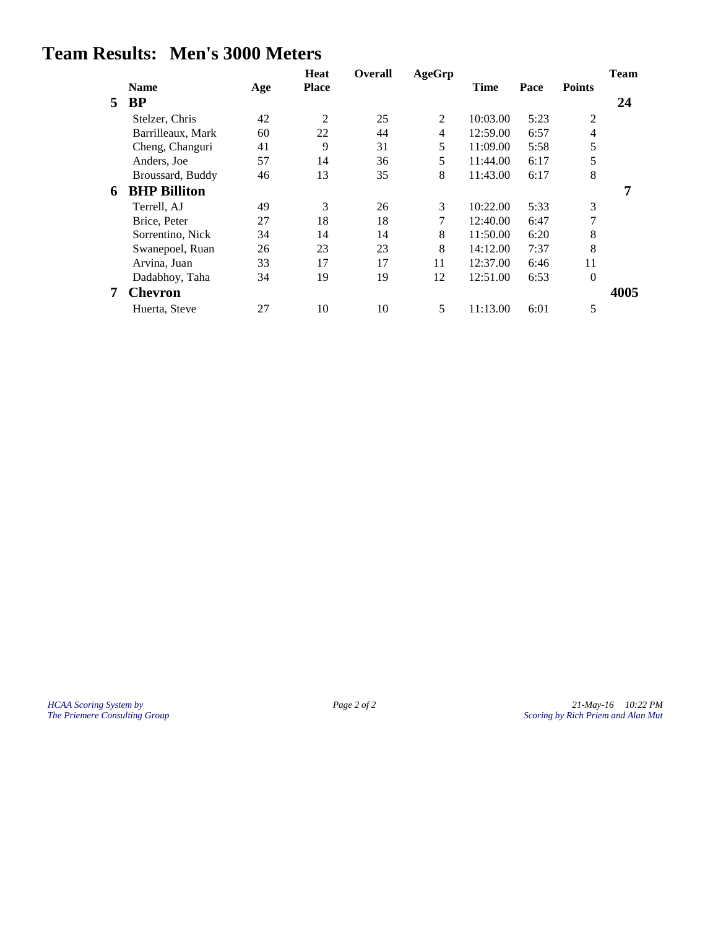#### **Team Results: Men's 3000 Meters**

|   |                     |     | <b>Heat</b>  | <b>Overall</b> | <b>AgeGrp</b> |             |      |                | <b>Team</b> |
|---|---------------------|-----|--------------|----------------|---------------|-------------|------|----------------|-------------|
|   | <b>Name</b>         | Age | <b>Place</b> |                |               | <b>Time</b> | Pace | <b>Points</b>  |             |
| 5 | <b>BP</b>           |     |              |                |               |             |      |                | 24          |
|   | Stelzer, Chris      | 42  | 2            | 25             | 2             | 10:03.00    | 5:23 | 2              |             |
|   | Barrilleaux, Mark   | 60  | 22           | 44             | 4             | 12:59.00    | 6:57 | $\overline{4}$ |             |
|   | Cheng, Changuri     | 41  | 9            | 31             | 5             | 11:09.00    | 5:58 | 5              |             |
|   | Anders, Joe         | 57  | 14           | 36             | 5             | 11:44.00    | 6:17 | 5              |             |
|   | Broussard, Buddy    | 46  | 13           | 35             | 8             | 11:43.00    | 6:17 | 8              |             |
| 6 | <b>BHP Billiton</b> |     |              |                |               |             |      |                | 7           |
|   | Terrell, AJ         | 49  | 3            | 26             | 3             | 10:22.00    | 5:33 | 3              |             |
|   | Brice, Peter        | 27  | 18           | 18             | 7             | 12:40.00    | 6:47 | 7              |             |
|   | Sorrentino, Nick    | 34  | 14           | 14             | 8             | 11:50.00    | 6:20 | 8              |             |
|   | Swanepoel, Ruan     | 26  | 23           | 23             | 8             | 14:12.00    | 7:37 | 8              |             |
|   | Arvina, Juan        | 33  | 17           | 17             | 11            | 12:37.00    | 6:46 | 11             |             |
|   | Dadabhoy, Taha      | 34  | 19           | 19             | 12            | 12:51.00    | 6:53 | $\theta$       |             |
|   | <b>Chevron</b>      |     |              |                |               |             |      |                | 4005        |
|   | Huerta, Steve       | 27  | 10           | 10             | 5             | 11:13.00    | 6:01 | 5              |             |

*HCAA Scoring System by Page 2 of 2 Page 2 of 2 21-May-16 10:22 PM The Priemere Consulting Group Alan Mut Page 2 of 2 21-May-16 21-May-16 21-May-16 21-May-16 21-May-16 21-May-16 21-May-16 21-M The Priemere Consulting Group Scoring by Rich Priem and Alan Mut*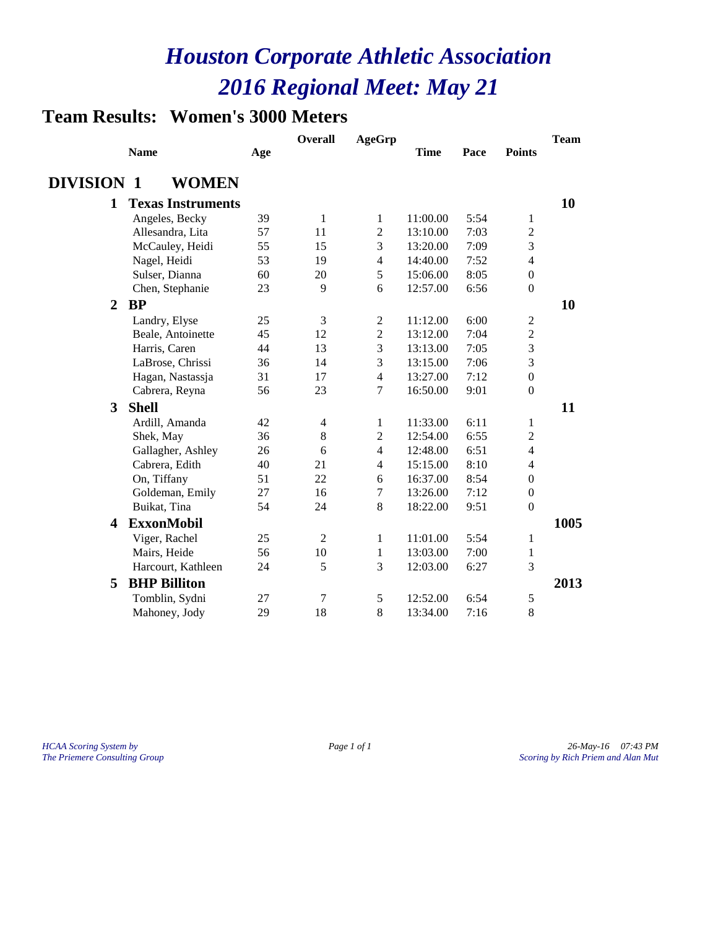### **Team Results: Women's 3000 Meters**

|                   |                          |     | <b>Overall</b> | <b>AgeGrp</b>  |             |      |                  | <b>Team</b> |
|-------------------|--------------------------|-----|----------------|----------------|-------------|------|------------------|-------------|
|                   | <b>Name</b>              | Age |                |                | <b>Time</b> | Pace | <b>Points</b>    |             |
| <b>DIVISION 1</b> | <b>WOMEN</b>             |     |                |                |             |      |                  |             |
| $\mathbf{1}$      | <b>Texas Instruments</b> |     |                |                |             |      |                  | 10          |
|                   | Angeles, Becky           | 39  | 1              | $\mathbf{1}$   | 11:00.00    | 5:54 | 1                |             |
|                   | Allesandra, Lita         | 57  | 11             | $\overline{2}$ | 13:10.00    | 7:03 | 2                |             |
|                   | McCauley, Heidi          | 55  | 15             | 3              | 13:20.00    | 7:09 | 3                |             |
|                   | Nagel, Heidi             | 53  | 19             | 4              | 14:40.00    | 7:52 | $\overline{4}$   |             |
|                   | Sulser, Dianna           | 60  | 20             | 5              | 15:06.00    | 8:05 | $\overline{0}$   |             |
|                   | Chen, Stephanie          | 23  | 9              | 6              | 12:57.00    | 6:56 | $\boldsymbol{0}$ |             |
| $\overline{2}$    | <b>BP</b>                |     |                |                |             |      |                  | 10          |
|                   | Landry, Elyse            | 25  | 3              | $\mathbf{2}$   | 11:12.00    | 6:00 | $\sqrt{2}$       |             |
|                   | Beale, Antoinette        | 45  | 12             | $\overline{c}$ | 13:12.00    | 7:04 | $\overline{c}$   |             |
|                   | Harris, Caren            | 44  | 13             | 3              | 13:13.00    | 7:05 | 3                |             |
|                   | LaBrose, Chrissi         | 36  | 14             | 3              | 13:15.00    | 7:06 | 3                |             |
|                   | Hagan, Nastassja         | 31  | 17             | 4              | 13:27.00    | 7:12 | $\overline{0}$   |             |
|                   | Cabrera, Reyna           | 56  | 23             | 7              | 16:50.00    | 9:01 | $\overline{0}$   |             |
| 3                 | <b>Shell</b>             |     |                |                |             |      |                  | 11          |
|                   | Ardill, Amanda           | 42  | $\overline{4}$ | $\mathbf{1}$   | 11:33.00    | 6:11 | 1                |             |
|                   | Shek, May                | 36  | $\,8\,$        | $\overline{c}$ | 12:54.00    | 6:55 | $\overline{c}$   |             |
|                   | Gallagher, Ashley        | 26  | 6              | $\overline{4}$ | 12:48.00    | 6:51 | $\overline{4}$   |             |
|                   | Cabrera, Edith           | 40  | 21             | $\overline{4}$ | 15:15.00    | 8:10 | $\overline{4}$   |             |
|                   | On, Tiffany              | 51  | 22             | 6              | 16:37.00    | 8:54 | $\mathbf{0}$     |             |
|                   | Goldeman, Emily          | 27  | 16             | 7              | 13:26.00    | 7:12 | $\overline{0}$   |             |
|                   | Buikat, Tina             | 54  | 24             | 8              | 18:22.00    | 9:51 | $\boldsymbol{0}$ |             |
| 4                 | <b>ExxonMobil</b>        |     |                |                |             |      |                  | 1005        |
|                   | Viger, Rachel            | 25  | $\overline{2}$ | 1              | 11:01.00    | 5:54 | 1                |             |
|                   | Mairs, Heide             | 56  | 10             | $\mathbf{1}$   | 13:03.00    | 7:00 | 1                |             |
|                   | Harcourt, Kathleen       | 24  | 5              | 3              | 12:03.00    | 6:27 | 3                |             |
| 5                 | <b>BHP Billiton</b>      |     |                |                |             |      |                  | 2013        |
|                   | Tomblin, Sydni           | 27  | $\tau$         | 5              | 12:52.00    | 6:54 | 5                |             |
|                   | Mahoney, Jody            | 29  | 18             | 8              | 13:34.00    | 7:16 | 8                |             |

*HCAA Scoring System by Page 1 of 1 Page 1 of 1 Page 1 of 1 26-May-16 07:43 PM*<br>*Page 1 of 1 Scoring by Rich Priem and Alan Mut The Priemere Consulting Group Scoring by Rich Priem and Alan Mut*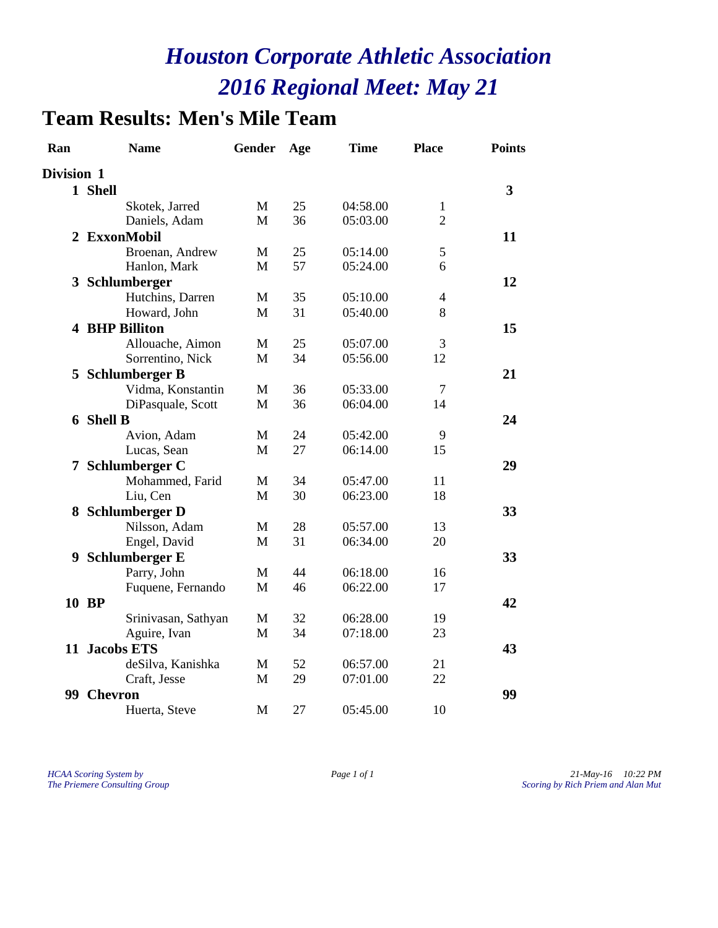# **Team Results: Men's Mile Team**

| Ran        | <b>Name</b>           | Gender | Age | <b>Time</b> | <b>Place</b>   | <b>Points</b>           |
|------------|-----------------------|--------|-----|-------------|----------------|-------------------------|
| Division 1 |                       |        |     |             |                |                         |
|            | 1 Shell               |        |     |             |                | $\overline{\mathbf{3}}$ |
|            | Skotek, Jarred        | M      | 25  | 04:58.00    | $\mathbf{1}$   |                         |
|            | Daniels, Adam         | M      | 36  | 05:03.00    | $\overline{2}$ |                         |
|            | 2 ExxonMobil          |        |     |             |                | 11                      |
|            | Broenan, Andrew       | M      | 25  | 05:14.00    | 5              |                         |
|            | Hanlon, Mark          | M      | 57  | 05:24.00    | 6              |                         |
|            | 3 Schlumberger        |        |     |             |                | 12                      |
|            | Hutchins, Darren      | M      | 35  | 05:10.00    | 4              |                         |
|            | Howard, John          | M      | 31  | 05:40.00    | 8              |                         |
|            | <b>4 BHP Billiton</b> |        |     |             |                | 15                      |
|            | Allouache, Aimon      | M      | 25  | 05:07.00    | 3              |                         |
|            | Sorrentino, Nick      | M      | 34  | 05:56.00    | 12             |                         |
|            | 5 Schlumberger B      |        |     |             |                | 21                      |
|            | Vidma, Konstantin     | M      | 36  | 05:33.00    | 7              |                         |
|            | DiPasquale, Scott     | M      | 36  | 06:04.00    | 14             |                         |
|            | <b>6 Shell B</b>      |        |     |             |                | 24                      |
|            | Avion, Adam           | M      | 24  | 05:42.00    | 9              |                         |
|            | Lucas, Sean           | M      | 27  | 06:14.00    | 15             |                         |
|            | 7 Schlumberger C      |        |     |             |                | 29                      |
|            | Mohammed, Farid       | M      | 34  | 05:47.00    | 11             |                         |
|            | Liu, Cen              | M      | 30  | 06:23.00    | 18             |                         |
|            | 8 Schlumberger D      |        |     |             |                | 33                      |
|            | Nilsson, Adam         | M      | 28  | 05:57.00    | 13             |                         |
|            | Engel, David          | M      | 31  | 06:34.00    | 20             |                         |
|            | 9 Schlumberger E      |        |     |             |                | 33                      |
|            | Parry, John           | M      | 44  | 06:18.00    | 16             |                         |
|            | Fuquene, Fernando     | M      | 46  | 06:22.00    | 17             |                         |
|            | 10 BP                 |        |     |             |                | 42                      |
|            | Srinivasan, Sathyan   | M      | 32  | 06:28.00    | 19             |                         |
|            | Aguire, Ivan          | M      | 34  | 07:18.00    | 23             |                         |
|            | 11 Jacobs ETS         |        |     |             |                | 43                      |
|            | deSilva, Kanishka     | M      | 52  | 06:57.00    | 21             |                         |
|            | Craft, Jesse          | M      | 29  | 07:01.00    | 22             |                         |
|            | 99 Chevron            |        |     |             |                | 99                      |
|            | Huerta, Steve         | M      |     |             |                |                         |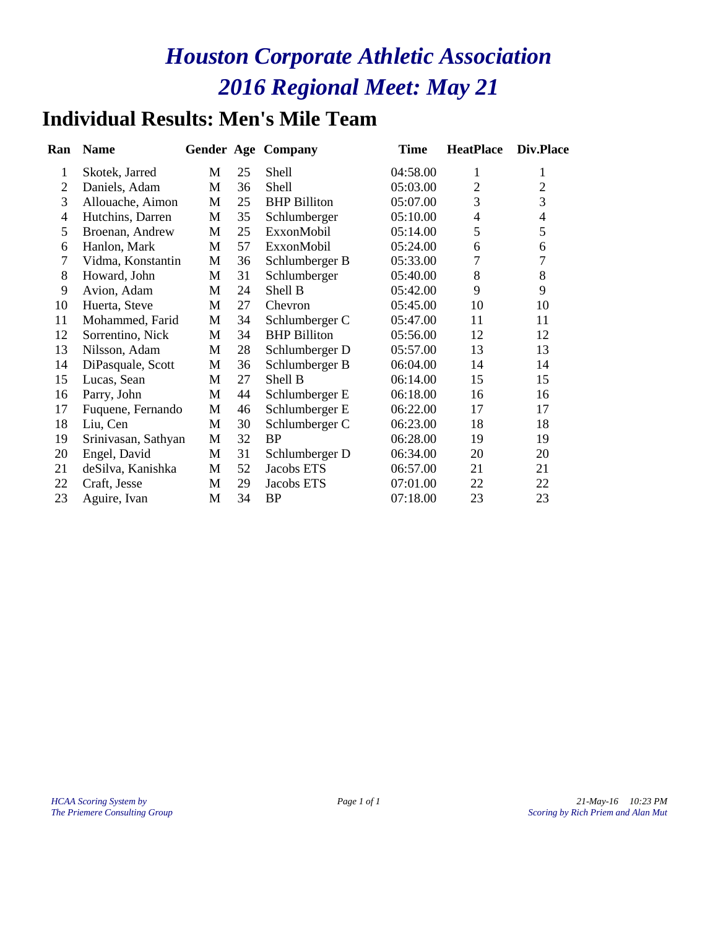### **Individual Results: Men's Mile Team**

| Ran            | <b>Name</b>         |              |    | <b>Gender Age Company</b> | <b>Time</b> | <b>HeatPlace</b> | Div.Place      |
|----------------|---------------------|--------------|----|---------------------------|-------------|------------------|----------------|
| 1              | Skotek, Jarred      | M            | 25 | <b>Shell</b>              | 04:58.00    | 1                | 1              |
| $\overline{2}$ | Daniels, Adam       | М            | 36 | Shell                     | 05:03.00    | $\overline{2}$   | $\overline{2}$ |
| 3              | Allouache, Aimon    | M            | 25 | <b>BHP</b> Billiton       | 05:07.00    | 3                | 3              |
| $\overline{4}$ | Hutchins, Darren    | M            | 35 | Schlumberger              | 05:10.00    | $\overline{4}$   | $\overline{4}$ |
| 5              | Broenan, Andrew     | M            | 25 | ExxonMobil                | 05:14.00    | 5                | 5              |
| 6              | Hanlon, Mark        | М            | 57 | ExxonMobil                | 05:24.00    | 6                | 6              |
| $\tau$         | Vidma, Konstantin   | M            | 36 | Schlumberger B            | 05:33.00    | 7                | $\overline{7}$ |
| 8              | Howard, John        | M            | 31 | Schlumberger              | 05:40.00    | $\,8\,$          | 8              |
| 9              | Avion, Adam         | M            | 24 | Shell B                   | 05:42.00    | 9                | 9              |
| 10             | Huerta, Steve       | M            | 27 | Chevron                   | 05:45.00    | 10               | 10             |
| 11             | Mohammed, Farid     | M            | 34 | Schlumberger C            | 05:47.00    | 11               | 11             |
| 12             | Sorrentino, Nick    | M            | 34 | <b>BHP</b> Billiton       | 05:56.00    | 12               | 12             |
| 13             | Nilsson, Adam       | M            | 28 | Schlumberger D            | 05:57.00    | 13               | 13             |
| 14             | DiPasquale, Scott   | M            | 36 | Schlumberger B            | 06:04.00    | 14               | 14             |
| 15             | Lucas, Sean         | M            | 27 | Shell B                   | 06:14.00    | 15               | 15             |
| 16             | Parry, John         | M            | 44 | Schlumberger E            | 06:18.00    | 16               | 16             |
| 17             | Fuquene, Fernando   | М            | 46 | Schlumberger E            | 06:22.00    | 17               | 17             |
| 18             | Liu, Cen            | M            | 30 | Schlumberger C            | 06:23.00    | 18               | 18             |
| 19             | Srinivasan, Sathyan | M            | 32 | <b>BP</b>                 | 06:28.00    | 19               | 19             |
| 20             | Engel, David        | M            | 31 | Schlumberger D            | 06:34.00    | 20               | 20             |
| 21             | deSilva, Kanishka   | M            | 52 | Jacobs ETS                | 06:57.00    | 21               | 21             |
| 22             | Craft, Jesse        | $\mathbf{M}$ | 29 | Jacobs ETS                | 07:01.00    | 22               | 22             |
| 23             | Aguire, Ivan        | M            | 34 | <b>BP</b>                 | 07:18.00    | 23               | 23             |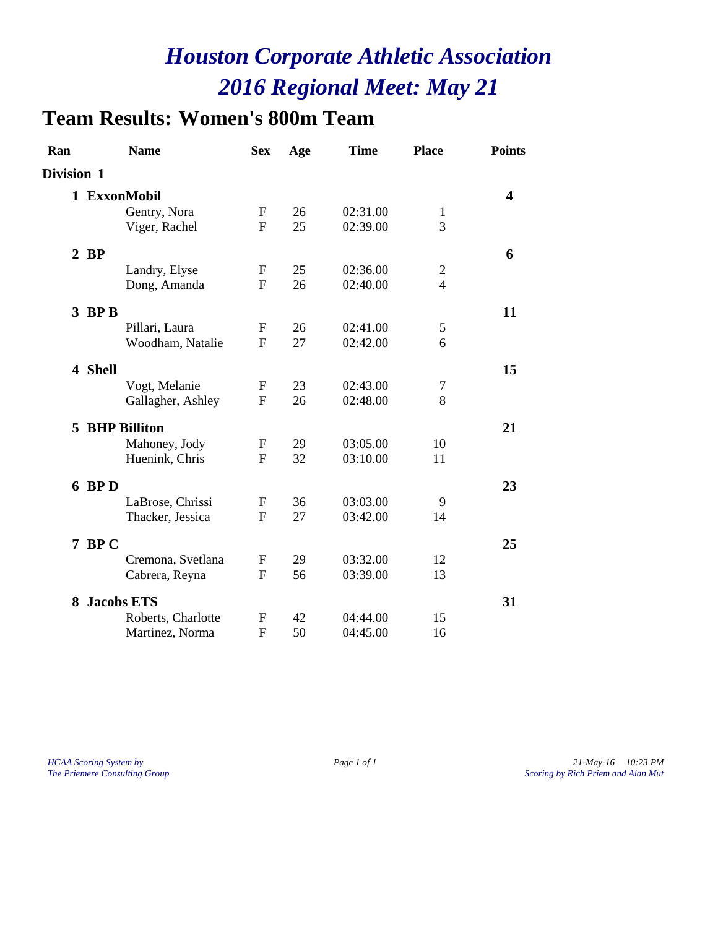# **Team Results: Women's 800m Team**

| Ran        |         | <b>Name</b>           | <b>Sex</b>  | Age | <b>Time</b> | <b>Place</b>   | <b>Points</b> |
|------------|---------|-----------------------|-------------|-----|-------------|----------------|---------------|
| Division 1 |         |                       |             |     |             |                |               |
|            |         | 1 ExxonMobil          |             |     |             |                | 4             |
|            |         | Gentry, Nora          | F           | 26  | 02:31.00    | $\mathbf{1}$   |               |
|            |         | Viger, Rachel         | F           | 25  | 02:39.00    | 3              |               |
|            | $2$ BP  |                       |             |     |             |                | 6             |
|            |         | Landry, Elyse         | F           | 25  | 02:36.00    | $\overline{c}$ |               |
|            |         | Dong, Amanda          | F           | 26  | 02:40.00    | $\overline{4}$ |               |
|            | 3 BP B  |                       |             |     |             |                | 11            |
|            |         | Pillari, Laura        | $\mathbf F$ | 26  | 02:41.00    | 5              |               |
|            |         | Woodham, Natalie      | F           | 27  | 02:42.00    | 6              |               |
|            | 4 Shell |                       |             |     |             |                | 15            |
|            |         | Vogt, Melanie         | F           | 23  | 02:43.00    | $\overline{7}$ |               |
|            |         | Gallagher, Ashley     | F           | 26  | 02:48.00    | 8              |               |
|            |         | <b>5 BHP Billiton</b> |             |     |             |                | 21            |
|            |         | Mahoney, Jody         | $\mathbf F$ | 29  | 03:05.00    | 10             |               |
|            |         | Huenink, Chris        | F           | 32  | 03:10.00    | 11             |               |
|            | 6 BP D  |                       |             |     |             |                | 23            |
|            |         | LaBrose, Chrissi      | F           | 36  | 03:03.00    | 9              |               |
|            |         | Thacker, Jessica      | F           | 27  | 03:42.00    | 14             |               |
|            | 7 BPC   |                       |             |     |             |                | 25            |
|            |         | Cremona, Svetlana     | F           | 29  | 03:32.00    | 12             |               |
|            |         | Cabrera, Reyna        | F           | 56  | 03:39.00    | 13             |               |
| 8          |         | <b>Jacobs ETS</b>     |             |     |             |                | 31            |
|            |         | Roberts, Charlotte    | F           | 42  | 04:44.00    | 15             |               |
|            |         | Martinez, Norma       | F           | 50  | 04:45.00    | 16             |               |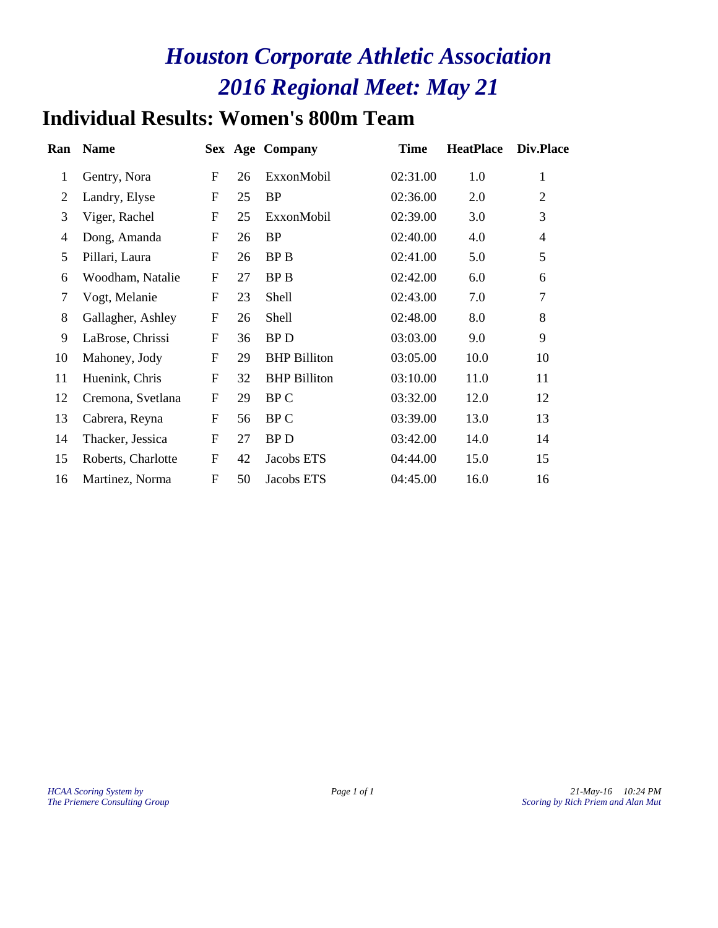# **Individual Results: Women's 800m Team**

| Ran            | <b>Name</b>        |                  |    | <b>Sex Age Company</b> | <b>Time</b> | <b>HeatPlace</b> | Div.Place      |
|----------------|--------------------|------------------|----|------------------------|-------------|------------------|----------------|
| $\mathbf{1}$   | Gentry, Nora       | $\mathbf{F}$     | 26 | ExxonMobil             | 02:31.00    | 1.0              | 1              |
| 2              | Landry, Elyse      | $\overline{F}$   | 25 | <b>BP</b>              | 02:36.00    | 2.0              | 2              |
| 3              | Viger, Rachel      | $\overline{F}$   | 25 | ExxonMobil             | 02:39.00    | 3.0              | 3              |
| $\overline{4}$ | Dong, Amanda       | $\mathbf{F}$     | 26 | <b>BP</b>              | 02:40.00    | 4.0              | $\overline{4}$ |
| 5              | Pillari, Laura     | $\mathbf F$      | 26 | BP B                   | 02:41.00    | 5.0              | 5              |
| 6              | Woodham, Natalie   | ${\bf F}$        | 27 | BP B                   | 02:42.00    | 6.0              | 6              |
| $\tau$         | Vogt, Melanie      | ${\bf F}$        | 23 | <b>Shell</b>           | 02:43.00    | 7.0              | 7              |
| 8              | Gallagher, Ashley  | $\boldsymbol{F}$ | 26 | <b>Shell</b>           | 02:48.00    | 8.0              | 8              |
| 9              | LaBrose, Chrissi   | $\overline{F}$   | 36 | <b>BPD</b>             | 03:03.00    | 9.0              | 9              |
| 10             | Mahoney, Jody      | ${\bf F}$        | 29 | <b>BHP</b> Billiton    | 03:05.00    | 10.0             | 10             |
| 11             | Huenink, Chris     | ${\bf F}$        | 32 | <b>BHP</b> Billiton    | 03:10.00    | 11.0             | 11             |
| 12             | Cremona, Svetlana  | $\boldsymbol{F}$ | 29 | BP C                   | 03:32.00    | 12.0             | 12             |
| 13             | Cabrera, Reyna     | ${\bf F}$        | 56 | BP C                   | 03:39.00    | 13.0             | 13             |
| 14             | Thacker, Jessica   | $\mathbf{F}$     | 27 | <b>BPD</b>             | 03:42.00    | 14.0             | 14             |
| 15             | Roberts, Charlotte | $\mathbf{F}$     | 42 | Jacobs ETS             | 04:44.00    | 15.0             | 15             |
| 16             | Martinez, Norma    | ${\bf F}$        | 50 | Jacobs ETS             | 04:45.00    | 16.0             | 16             |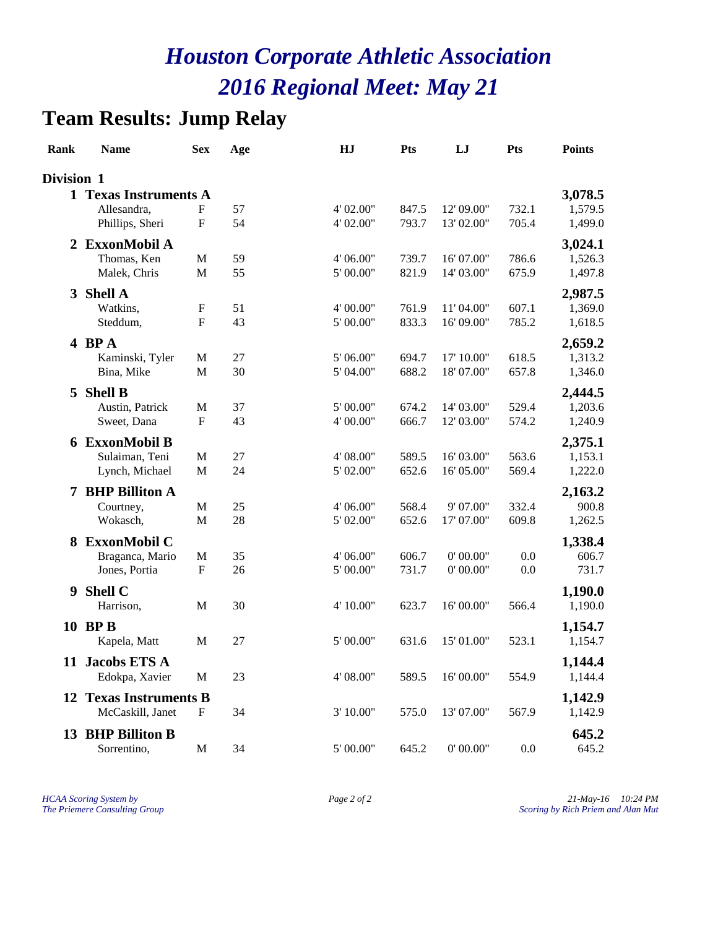# **Team Results: Jump Relay**

| Rank           | <b>Name</b>                   | <b>Sex</b>                | Age    | HJ         | <b>Pts</b> | LJ         | Pts   | <b>Points</b> |
|----------------|-------------------------------|---------------------------|--------|------------|------------|------------|-------|---------------|
| Division 1     |                               |                           |        |            |            |            |       |               |
|                | 1 Texas Instruments A         |                           |        |            |            |            |       | 3,078.5       |
|                | Allesandra,                   | ${\bf F}$                 | 57     | 4' 02.00"  | 847.5      | 12' 09.00" | 732.1 | 1,579.5       |
|                | Phillips, Sheri               | ${\bf F}$                 | 54     | 4' 02.00"  | 793.7      | 13' 02.00" | 705.4 | 1,499.0       |
| 2              | <b>ExxonMobil A</b>           |                           |        |            |            |            |       | 3,024.1       |
|                | Thomas, Ken                   | $\mathbf M$               | 59     | 4' 06.00"  | 739.7      | 16' 07.00" | 786.6 | 1,526.3       |
|                | Malek, Chris                  | M                         | 55     | 5' 00.00"  | 821.9      | 14' 03.00" | 675.9 | 1,497.8       |
| 3 <sup>1</sup> | <b>Shell A</b>                |                           |        |            |            |            |       | 2,987.5       |
|                | Watkins,                      | $\boldsymbol{F}$          | 51     | 4' 00.00"  | 761.9      | 11' 04.00" | 607.1 | 1,369.0       |
|                | Steddum,                      | ${\bf F}$                 | 43     | 5' 00.00"  | 833.3      | 16' 09.00" | 785.2 | 1,618.5       |
|                |                               |                           |        |            |            |            |       |               |
|                | 4 BPA                         |                           |        |            |            |            |       | 2,659.2       |
|                | Kaminski, Tyler               | M                         | 27     | 5' 06.00"  | 694.7      | 17' 10.00" | 618.5 | 1,313.2       |
|                | Bina, Mike                    | M                         | 30     | 5' 04.00"  | 688.2      | 18'07.00"  | 657.8 | 1,346.0       |
| 5              | <b>Shell B</b>                |                           |        |            |            |            |       | 2,444.5       |
|                | Austin, Patrick               | M                         | 37     | 5' 00.00"  | 674.2      | 14' 03.00" | 529.4 | 1,203.6       |
|                | Sweet, Dana                   | $\boldsymbol{\mathrm{F}}$ | 43     | 4' 00.00"  | 666.7      | 12' 03.00" | 574.2 | 1,240.9       |
|                | 6 ExxonMobil B                |                           |        |            |            |            |       | 2,375.1       |
|                | Sulaiman, Teni                | $\mathbf M$               | 27     | 4' 08.00"  | 589.5      | 16' 03.00" | 563.6 | 1,153.1       |
|                | Lynch, Michael                | $\mathbf M$               | 24     | 5' 02.00"  | 652.6      | 16' 05.00" | 569.4 | 1,222.0       |
| 7              | <b>BHP Billiton A</b>         |                           |        |            |            |            |       | 2,163.2       |
|                | Courtney,                     | M                         | 25     | 4' 06.00"  | 568.4      | 9' 07.00"  | 332.4 | 900.8         |
|                | Wokasch,                      | M                         | 28     | 5' 02.00"  | 652.6      | 17' 07.00" | 609.8 | 1,262.5       |
|                | 8 ExxonMobil C                |                           |        |            |            |            |       | 1,338.4       |
|                | Braganca, Mario               | M                         | 35     | 4' 06.00"  | 606.7      | 0' 00.00"  | 0.0   | 606.7         |
|                | Jones, Portia                 | $\boldsymbol{\mathrm{F}}$ | 26     | $5'00.00"$ | 731.7      | 0' 00.00"  | 0.0   | 731.7         |
|                |                               |                           |        |            |            |            |       |               |
| 9              | <b>Shell C</b>                |                           |        |            |            |            |       | 1,190.0       |
|                | Harrison,                     | M                         | 30     | 4' 10.00"  | 623.7      | 16' 00.00" | 566.4 | 1,190.0       |
|                | 10 BPB                        |                           |        |            |            |            |       | 1,154.7       |
|                | Kapela, Matt                  | M                         | $27\,$ | 5' 00.00"  | 631.6      | 15' 01.00" | 523.1 | 1,154.7       |
|                | 11 Jacobs ETS A               |                           |        |            |            |            |       | 1,144.4       |
|                | Edokpa, Xavier                | M                         | 23     | 4' 08.00"  | 589.5      | 16'00.00"  | 554.9 | 1,144.4       |
|                |                               |                           |        |            |            |            |       |               |
|                | <b>12 Texas Instruments B</b> |                           |        |            |            |            |       | 1,142.9       |
|                | McCaskill, Janet              | F                         | 34     | 3' 10.00"  | 575.0      | 13' 07.00" | 567.9 | 1,142.9       |
|                | 13 BHP Billiton B             |                           |        |            |            |            |       | 645.2         |
|                | Sorrentino,                   | M                         | 34     | $5'00.00"$ | 645.2      | 0' 00.00"  | 0.0   | 645.2         |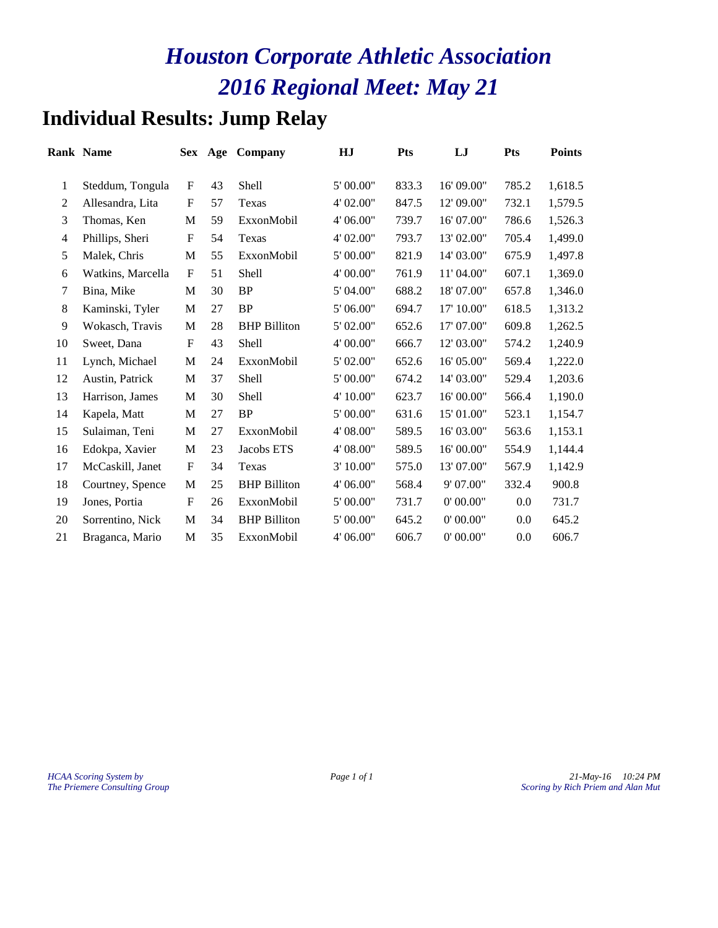# **Individual Results: Jump Relay**

|                | <b>Rank Name</b>  | Sex         | Age | Company             | HJ        | <b>Pts</b> | LJ         | <b>Pts</b> | <b>Points</b> |
|----------------|-------------------|-------------|-----|---------------------|-----------|------------|------------|------------|---------------|
| 1              | Steddum, Tongula  | $\mathbf F$ | 43  | Shell               | 5' 00.00" | 833.3      | 16' 09.00" | 785.2      | 1,618.5       |
| $\overline{2}$ | Allesandra, Lita  | F           | 57  | Texas               | 4' 02.00" | 847.5      | 12' 09.00" | 732.1      | 1,579.5       |
| 3              | Thomas, Ken       | M           | 59  | ExxonMobil          | 4' 06.00" | 739.7      | 16' 07.00" | 786.6      | 1,526.3       |
| 4              | Phillips, Sheri   | $\mathbf F$ | 54  | Texas               | 4' 02.00" | 793.7      | 13' 02.00" | 705.4      | 1,499.0       |
| 5              | Malek, Chris      | M           | 55  | ExxonMobil          | 5' 00.00" | 821.9      | 14' 03.00" | 675.9      | 1,497.8       |
| 6              | Watkins, Marcella | $\mathbf F$ | 51  | Shell               | 4' 00.00" | 761.9      | 11' 04.00" | 607.1      | 1,369.0       |
| 7              | Bina, Mike        | M           | 30  | <b>BP</b>           | 5' 04.00" | 688.2      | 18' 07.00" | 657.8      | 1,346.0       |
| $8\,$          | Kaminski, Tyler   | M           | 27  | <b>BP</b>           | 5'06.00"  | 694.7      | 17' 10.00" | 618.5      | 1,313.2       |
| 9              | Wokasch, Travis   | $\mathbf M$ | 28  | <b>BHP</b> Billiton | 5' 02.00" | 652.6      | 17' 07.00" | 609.8      | 1,262.5       |
| 10             | Sweet, Dana       | $\mathbf F$ | 43  | Shell               | 4' 00.00" | 666.7      | 12' 03.00" | 574.2      | 1,240.9       |
| 11             | Lynch, Michael    | $\mathbf M$ | 24  | ExxonMobil          | 5' 02.00" | 652.6      | 16' 05.00" | 569.4      | 1,222.0       |
| 12             | Austin, Patrick   | $\mathbf M$ | 37  | Shell               | 5' 00.00" | 674.2      | 14' 03.00" | 529.4      | 1,203.6       |
| 13             | Harrison, James   | $\mathbf M$ | 30  | <b>Shell</b>        | 4' 10.00" | 623.7      | 16' 00.00" | 566.4      | 1,190.0       |
| 14             | Kapela, Matt      | M           | 27  | <b>BP</b>           | 5' 00.00" | 631.6      | 15' 01.00" | 523.1      | 1,154.7       |
| 15             | Sulaiman, Teni    | M           | 27  | ExxonMobil          | 4' 08.00" | 589.5      | 16' 03.00" | 563.6      | 1,153.1       |
| 16             | Edokpa, Xavier    | M           | 23  | Jacobs ETS          | 4' 08.00" | 589.5      | 16' 00.00" | 554.9      | 1,144.4       |
| 17             | McCaskill, Janet  | $\mathbf F$ | 34  | Texas               | 3' 10.00" | 575.0      | 13' 07.00" | 567.9      | 1,142.9       |
| 18             | Courtney, Spence  | M           | 25  | <b>BHP Billiton</b> | 4' 06.00" | 568.4      | 9' 07.00"  | 332.4      | 900.8         |
| 19             | Jones, Portia     | $\mathbf F$ | 26  | ExxonMobil          | 5' 00.00" | 731.7      | 0' 00.00"  | 0.0        | 731.7         |
| 20             | Sorrentino, Nick  | M           | 34  | <b>BHP</b> Billiton | 5' 00.00" | 645.2      | 0' 00.00"  | 0.0        | 645.2         |
| 21             | Braganca, Mario   | M           | 35  | ExxonMobil          | 4' 06.00" | 606.7      | 0' 00.00"  | 0.0        | 606.7         |
|                |                   |             |     |                     |           |            |            |            |               |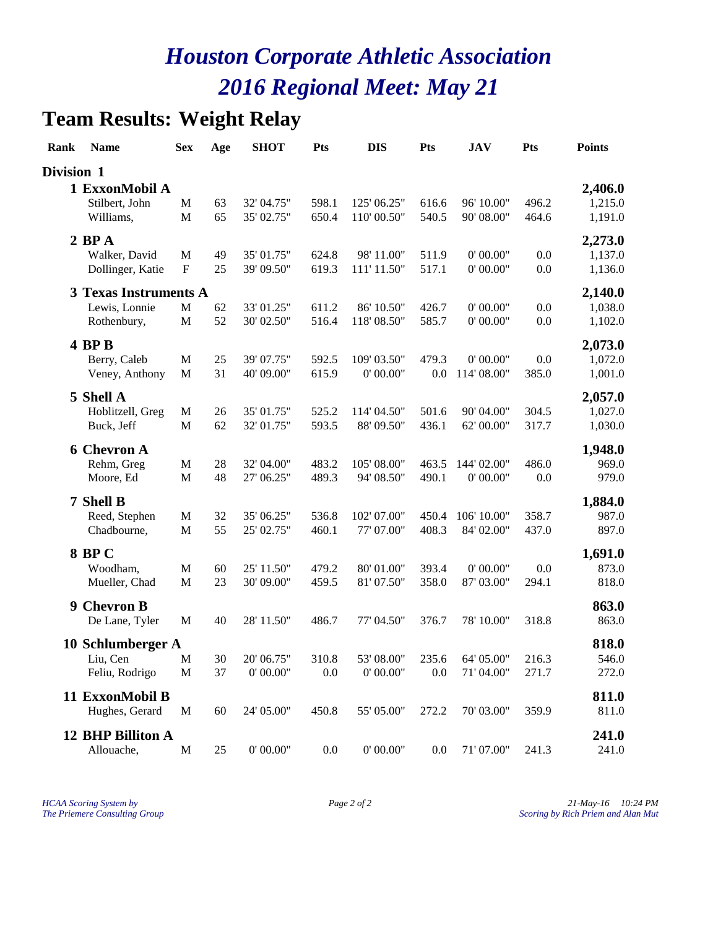# **Team Results: Weight Relay**

| Rank       | <b>Name</b>                  | <b>Sex</b>                | Age      | <b>SHOT</b> | Pts   | <b>DIS</b>    | Pts     | <b>JAV</b>  | <b>Pts</b> | <b>Points</b>  |
|------------|------------------------------|---------------------------|----------|-------------|-------|---------------|---------|-------------|------------|----------------|
| Division 1 |                              |                           |          |             |       |               |         |             |            |                |
|            | 1 ExxonMobil A               |                           |          |             |       |               |         |             |            | 2,406.0        |
|            | Stilbert, John               | M                         | 63       | 32' 04.75"  | 598.1 | 125' 06.25"   | 616.6   | 96' 10.00"  | 496.2      | 1,215.0        |
|            | Williams,                    | $\mathbf M$               | 65       | 35' 02.75"  | 650.4 | 110' 00.50"   | 540.5   | 90' 08.00"  | 464.6      | 1,191.0        |
|            | $2$ BP $A$                   |                           |          |             |       |               |         |             |            | 2,273.0        |
|            | Walker, David                | $\mathbf M$               | 49       | 35' 01.75"  | 624.8 | 98' 11.00"    | 511.9   | 0' 00.00"   | 0.0        | 1,137.0        |
|            | Dollinger, Katie             | $\boldsymbol{\mathrm{F}}$ | 25       | 39' 09.50"  | 619.3 | 111' 11.50"   | 517.1   | 0' 00.00"   | 0.0        | 1,136.0        |
|            | <b>3 Texas Instruments A</b> |                           |          |             |       |               |         |             |            | 2,140.0        |
|            | Lewis, Lonnie                | M                         | 62       | 33' 01.25"  | 611.2 | 86' 10.50"    | 426.7   | 0' 00.00"   | 0.0        | 1,038.0        |
|            | Rothenbury,                  | M                         | 52       | 30' 02.50"  | 516.4 | 118' 08.50"   | 585.7   | 0' 00.00"   | 0.0        | 1,102.0        |
|            | 4 BP B                       |                           |          |             |       |               |         |             |            | 2,073.0        |
|            | Berry, Caleb                 | M                         | 25       | 39' 07.75"  | 592.5 | 109' 03.50"   | 479.3   | 0' 00.00"   | 0.0        | 1,072.0        |
|            | Veney, Anthony               | $\mathbf M$               | 31       | 40' 09.00"  | 615.9 | 0' 00.00"     | 0.0     | 114' 08.00" | 385.0      | 1,001.0        |
|            | 5 Shell A                    |                           |          |             |       |               |         |             |            | 2,057.0        |
|            | Hoblitzell, Greg             | M                         | 26       | 35' 01.75"  | 525.2 | 114' 04.50"   | 501.6   | 90' 04.00"  | 304.5      | 1,027.0        |
|            | Buck, Jeff                   | $\mathbf M$               | 62       | 32' 01.75"  | 593.5 | 88'09.50"     | 436.1   | 62' 00.00"  | 317.7      | 1,030.0        |
|            | <b>6 Chevron A</b>           |                           |          |             |       |               |         |             |            | 1,948.0        |
|            | Rehm, Greg                   | M                         | 28       | 32' 04.00"  | 483.2 | 105' 08.00"   | 463.5   | 144' 02.00" | 486.0      | 969.0          |
|            | Moore, Ed                    | M                         | 48       | 27' 06.25"  | 489.3 | 94' 08.50"    | 490.1   | 0' 00.00"   | 0.0        | 979.0          |
|            | 7 Shell B                    |                           |          |             |       |               |         |             |            | 1,884.0        |
|            | Reed, Stephen                | M                         | 32       | 35' 06.25"  | 536.8 | 102' 07.00"   | 450.4   | 106' 10.00" | 358.7      | 987.0          |
|            | Chadbourne,                  | M                         | 55       | 25' 02.75"  | 460.1 | 77'07.00"     | 408.3   | 84' 02.00"  | 437.0      | 897.0          |
|            | <b>8 BPC</b>                 |                           |          |             |       |               |         |             |            | 1,691.0        |
|            | Woodham,                     | M                         | 60       | 25' 11.50"  | 479.2 | 80'01.00"     | 393.4   | 0' 00.00"   | 0.0        | 873.0          |
|            | Mueller, Chad                | $\mathbf M$               | 23       | 30' 09.00"  | 459.5 | 81'07.50"     | 358.0   | 87' 03.00"  | 294.1      | 818.0          |
|            | 9 Chevron B                  |                           |          |             |       |               |         |             |            | 863.0          |
|            | De Lane, Tyler               | M                         | 40       | 28' 11.50"  | 486.7 | 77' 04.50"    | 376.7   | 78' 10.00"  | 318.8      | 863.0          |
|            |                              |                           |          |             |       |               |         |             |            |                |
|            | 10 Schlumberger A            |                           |          | 20' 06.75"  | 310.8 | 53'08.00"     | 235.6   | 64' 05.00"  | 216.3      | 818.0<br>546.0 |
|            | Liu, Cen<br>Feliu, Rodrigo   | M<br>$\mathbf{M}$         | 30<br>37 | 0' 00.00"   | 0.0   | 0' 00.00"     | 0.0     | 71' 04.00"  | 271.7      | 272.0          |
|            |                              |                           |          |             |       |               |         |             |            |                |
|            | 11 ExxonMobil B              |                           |          |             |       |               |         |             |            | 811.0          |
|            | Hughes, Gerard               | $\mathbf M$               | 60       | 24' 05.00"  | 450.8 | 55' 05.00"    | 272.2   | 70' 03.00"  | 359.9      | 811.0          |
|            | 12 BHP Billiton A            |                           |          |             |       |               |         |             |            | 241.0          |
|            | Allouache,                   | $\mathbf M$               | $25\,$   | 0' 00.00"   | 0.0   | $0'$ $00.00"$ | $0.0\,$ | 71'07.00"   | 241.3      | 241.0          |